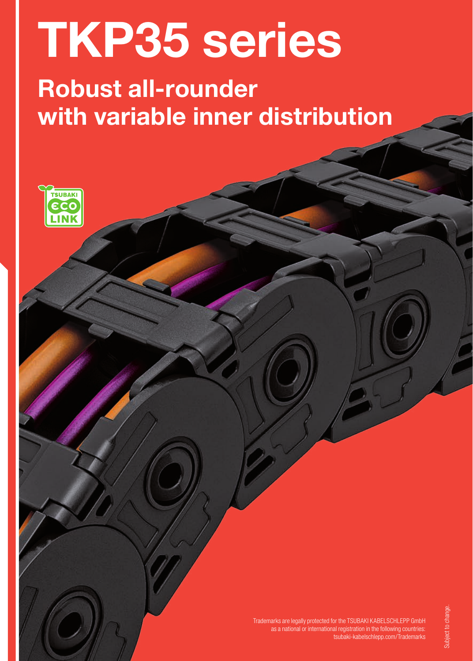# TKP35 series

# Robust all-rounder with variable inner distribution



Trademarks are legally protected for the TSUBAKI KABELSCHLEPP GmbH as a national or international registration in the following countries: tsubaki-kabelschlepp.com/Trademarks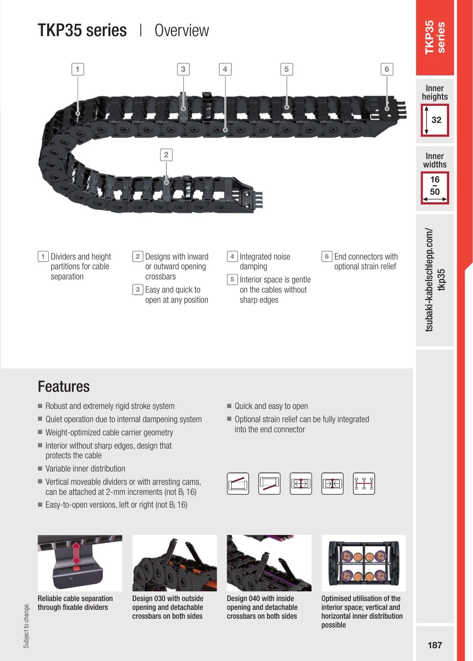# TKP35 series | Overview



## Features

- Robust and extremely rigid stroke system
- Quiet operation due to internal dampening system
- Weight-optimized cable carrier geometry
- Interior without sharp edges, design that protects the cable
- Variable inner distribution
- Vertical moveable dividers or with arresting cams, can be attached at 2-mm increments (not Bi 16)
- Easy-to-open versions, left or right (not B<sub>i</sub> 16)



Reliable cable separation through fixable dividers



Design 030 with outside opening and detachable crossbars on both sides



Design 040 with inside opening and detachable crossbars on both sides



lH

 $\overline{\mathsf{P}}$ 

Optimised utilisation of the interior space; vertical and horizontal inner distribution possible

- Quick and easy to open
- Optional strain relief can be fully integrated into the end connector

I←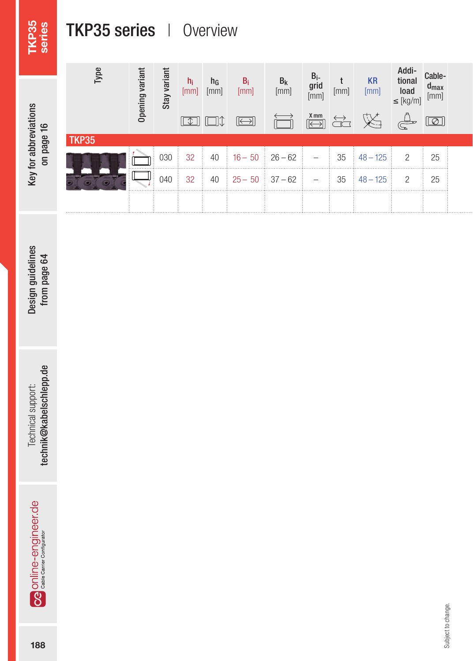# TKP35 series

# TKP35 series | Overview

| ⊻<br>Ē<br>ع<br>읁<br>ē | page<br>등 |
|-----------------------|-----------|
|-----------------------|-----------|

| $\omega$<br>Гyр | variar<br>Opening | variar<br>Stay | $n_i$<br>[mm]<br>$\Box$ | $\frac{h_G}{[mm]}$<br>OC | $B_i$<br>[mm]<br>$\boxed{\longleftrightarrow}$ | $\begin{array}{c} B_k\\ \mathrm{[mm]} \end{array}$ | $B_i$<br>grid<br>[mm]<br>$\overbrace{ \leftarrow\rangle}^{\text{X mm}}$ | $[mm] % \begin{minipage}[b]{0.4\linewidth} \centering \includegraphics[width=\textwidth]{figures/h1.pdf} \caption{The 3D (top) and 4D (bottom) of the 3D (bottom) of the 3D (bottom) of the 3D (bottom) of the 3D (bottom) of the 3D (bottom) of the 3D (bottom).} \label{fig:h1} \end{minipage}$ | $KR$ [mm]<br>义                                               | Addi-<br>tional<br>$\vert$ load<br>$\leq$ [kg/m]<br>$\mathbb{Z}$ | Cable-<br>$d_{max}$<br>[mm]<br>$\boxed{\textcircled{2}}$ |  |
|-----------------|-------------------|----------------|-------------------------|--------------------------|------------------------------------------------|----------------------------------------------------|-------------------------------------------------------------------------|---------------------------------------------------------------------------------------------------------------------------------------------------------------------------------------------------------------------------------------------------------------------------------------------------|--------------------------------------------------------------|------------------------------------------------------------------|----------------------------------------------------------|--|
| TKP35           |                   |                |                         |                          |                                                |                                                    |                                                                         |                                                                                                                                                                                                                                                                                                   |                                                              |                                                                  |                                                          |  |
|                 |                   | 030            | 32                      | 40                       |                                                | $16 - 50$ 26 - 62                                  | $\sim$                                                                  |                                                                                                                                                                                                                                                                                                   | $35 \div 48 - 125$                                           | $\overline{2}$                                                   | 25                                                       |  |
|                 |                   |                | $040 \ \ 32 \ \ 32$     |                          |                                                |                                                    |                                                                         |                                                                                                                                                                                                                                                                                                   | $40 \pm 25 - 50 \pm 37 - 62 \pm - \pm 35 \pm 48 - 125 \pm 2$ |                                                                  | $\frac{1}{25}$                                           |  |
|                 |                   |                |                         |                          |                                                |                                                    |                                                                         |                                                                                                                                                                                                                                                                                                   |                                                              |                                                                  |                                                          |  |

technik@kabelschlepp.de Technical support:

188Technical support: technik@kabelschlepp.de OR Online-engineer.de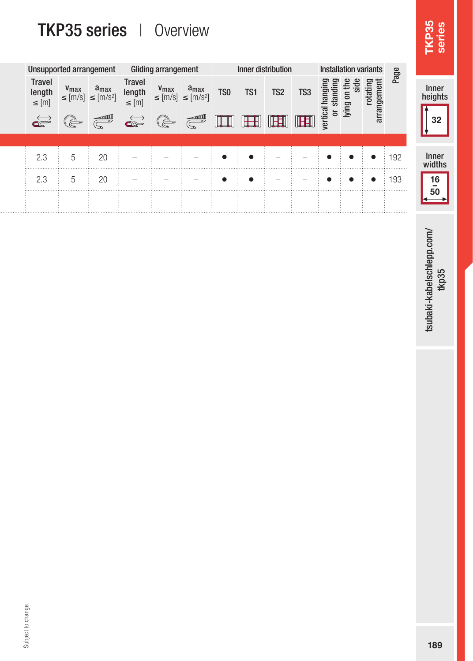# TKP35 series | Overview

| Unsupported arrangement               |                                                                                                                                                                                                                                                                                                                                                     |                                                      |                                       | Gliding arrangement                                                                                                                                                                                                                                                                                                                           |                                                    |                 |              | Inner distribution |                 | <b>Installation variants</b> |                   |                               | age   |                  |
|---------------------------------------|-----------------------------------------------------------------------------------------------------------------------------------------------------------------------------------------------------------------------------------------------------------------------------------------------------------------------------------------------------|------------------------------------------------------|---------------------------------------|-----------------------------------------------------------------------------------------------------------------------------------------------------------------------------------------------------------------------------------------------------------------------------------------------------------------------------------------------|----------------------------------------------------|-----------------|--------------|--------------------|-----------------|------------------------------|-------------------|-------------------------------|-------|------------------|
| <b>Travel</b><br>length<br>$\leq$ [m] | V <sub>max</sub>                                                                                                                                                                                                                                                                                                                                    | $a_{max}$<br>$\leq$ [m/s] $\leq$ [m/s <sup>2</sup> ] | <b>Travel</b><br>length<br>$\leq$ [m] | V <sub>max</sub>                                                                                                                                                                                                                                                                                                                              | $a_{max}$<br>$\le$ [m/s] $\le$ [m/s <sup>2</sup> ] | TS <sub>0</sub> | TS1          | TS <sub>2</sub>    | TS <sub>3</sub> | ang<br>an<br>ة               | $\mathbf{\Omega}$ | Έ.<br>⊃<br>arrangem<br>ದ<br>ë | ≏     | Inner<br>heights |
| $\overrightarrow{\mathbf{c}}$         | $\begin{picture}(20,20) \put(0,0){\line(1,0){10}} \put(15,0){\line(1,0){10}} \put(15,0){\line(1,0){10}} \put(15,0){\line(1,0){10}} \put(15,0){\line(1,0){10}} \put(15,0){\line(1,0){10}} \put(15,0){\line(1,0){10}} \put(15,0){\line(1,0){10}} \put(15,0){\line(1,0){10}} \put(15,0){\line(1,0){10}} \put(15,0){\line(1,0){10}} \put(15,0){\line(1$ | <b>Contract Contract Contract</b>                    | $\overrightarrow{\mathbf{c}}$         | $\begin{picture}(20,20) \put(0,0){\line(1,0){155}} \put(15,0){\line(1,0){155}} \put(15,0){\line(1,0){155}} \put(15,0){\line(1,0){155}} \put(15,0){\line(1,0){155}} \put(15,0){\line(1,0){155}} \put(15,0){\line(1,0){155}} \put(15,0){\line(1,0){155}} \put(15,0){\line(1,0){155}} \put(15,0){\line(1,0){155}} \put(15,0){\line(1,0){155}} \$ |                                                    | ШT              | $\mathbb{H}$ | <b>THET</b>        | IH              | vertical<br>ਠ                | lying             |                               |       | 32               |
|                                       |                                                                                                                                                                                                                                                                                                                                                     |                                                      |                                       |                                                                                                                                                                                                                                                                                                                                               |                                                    |                 |              |                    |                 |                              |                   |                               |       |                  |
| 2.3                                   |                                                                                                                                                                                                                                                                                                                                                     | 20                                                   | $\overline{\phantom{a}}$              |                                                                                                                                                                                                                                                                                                                                               |                                                    |                 |              | -                  |                 |                              |                   |                               | : 192 | Inner            |
|                                       |                                                                                                                                                                                                                                                                                                                                                     |                                                      |                                       |                                                                                                                                                                                                                                                                                                                                               |                                                    |                 |              |                    |                 |                              |                   |                               |       | widths           |
| 2.3                                   |                                                                                                                                                                                                                                                                                                                                                     | 20                                                   | -                                     | $\overline{\phantom{a}}$                                                                                                                                                                                                                                                                                                                      | -                                                  |                 |              | -                  | -               |                              |                   |                               | 193   | 16<br>-          |
|                                       |                                                                                                                                                                                                                                                                                                                                                     |                                                      |                                       |                                                                                                                                                                                                                                                                                                                                               |                                                    |                 |              |                    |                 |                              |                   |                               | .     | 50               |
|                                       |                                                                                                                                                                                                                                                                                                                                                     |                                                      |                                       |                                                                                                                                                                                                                                                                                                                                               |                                                    |                 |              |                    |                 |                              |                   |                               |       |                  |

tsubaki-kabelschlepp.com/<br>tkp35 tsubaki-kabelschlepp.com/<br>1895<br>1895

TKP35 series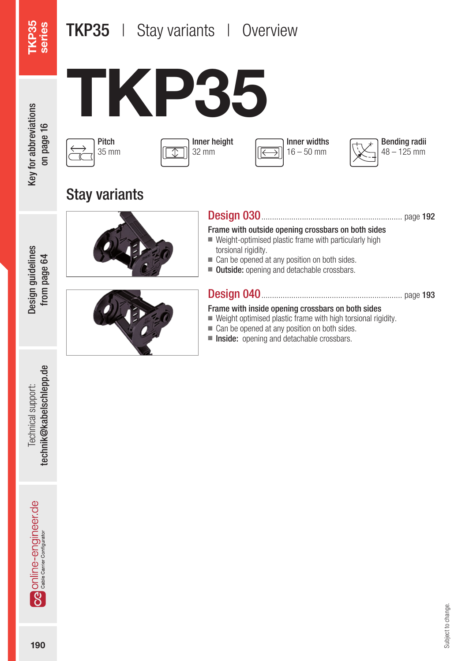# **TKP35** | Stay variants | Overview

TKP35 series



on page 16









Stay variants





#### Design 030.................................................................. page 192

Frame with outside opening crossbars on both sides

- Weight-optimised plastic frame with particularly high torsional rigidity.
- Can be opened at any position on both sides.
- Outside: opening and detachable crossbars.

#### Design 040.................................................................. page 193

#### Frame with inside opening crossbars on both sides

- Weight optimised plastic frame with high torsional rigidity.
- Can be opened at any position on both sides.
- Inside: opening and detachable crossbars.

technik@kabelschlepp.de Technical support:

Design guidelines from page 64

Design guidelines from page 64

190Technical support: technik@kabelschlepp.de **Ca** online-engineer de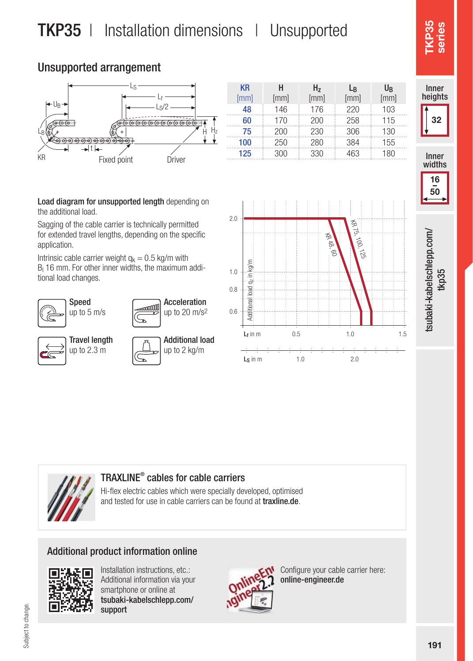# TKP35 | Installation dimensions | Unsupported

#### Unsupported arrangement



| <b>KR</b> | н    | H,   | Lß   | U <sub>R</sub> |
|-----------|------|------|------|----------------|
| [mm]      | [mm] | [mm] | [mm] | [mm]           |
| 48        | 146  | 176  | 220  | 103            |
| 60        | 170  | 200  | 258  | 115            |
| 75        | 200  | 230  | 306  | 130            |
| 100       | 250  | 280  | 384  | 155            |
| 125       | 300  | 330  | 463  | 180            |

Load diagram for unsupported length depending on the additional load.

Sagging of the cable carrier is technically permitted for extended travel lengths, depending on the specific application.

Intrinsic cable carrier weight  $q_k = 0.5$  kg/m with Bi 16 mm. For other inner widths, the maximum additional load changes.







| Travel length |
|---------------|
| up to 2.3 m   |
|               |

| Additional load<br>$\rightarrow$ up to 2 kg/m |
|-----------------------------------------------|









#### TRAXLINE® cables for cable carriers

Hi-flex electric cables which were specially developed, optimised and tested for use in cable carriers can be found at traxline.de.

#### Additional product information online



Installation instructions, etc.: Additional information via your smartphone or online at tsubaki-kabelschlepp.com/ support



Configure your cable carrier here: online-engineer.de

TKP35 series

Inner heights

32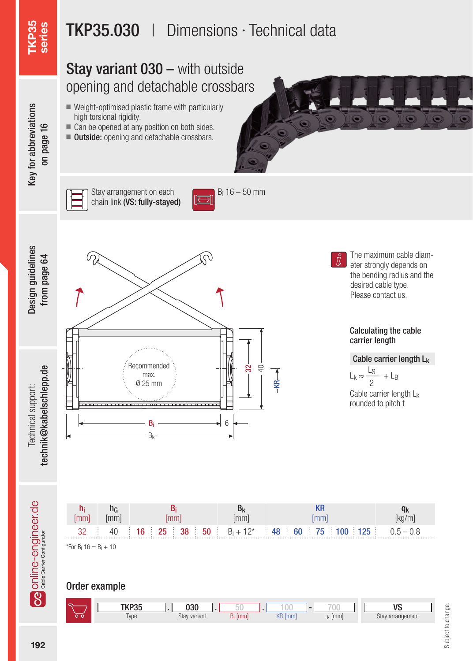# TKP35.030 | Dimensions · Technical data

## Stay variant 030 – with outside opening and detachable crossbars

■ Weight-optimised plastic frame with particularly

■ Can be opened at any position on both sides. ■ **Outside:** opening and detachable crossbars.

high torsional rigidity.



Key for abbreviations Key for abbreviations on page 16

Stay arrangement on each chain link (VS: fully-stayed)



Design guidelines Design guidelines from page 64 from page 64

Technical support:



The maximum cable diameter strongly depends on the bending radius and the desired cable type. Please contact us.

#### Calculating the cable carrier length

Cable carrier length Lk

 $L_k \approx \frac{L_S}{2} + L_B$ 2

Cable carrier length Lk rounded to pitch t

192Technical support: technik@kabelschlepp.de Online-engineer.de



 $-$ KR $-$ 

\*For  $B_i$  16 =  $B_i$  + 10

#### Order example

| <b>LKD32</b>        | 030          |      |    |     |                     | $\overline{\mathbf{r}}$ |
|---------------------|--------------|------|----|-----|---------------------|-------------------------|
| <b>Tart</b><br>Type | Stay variant | [mm] | Λn | mml | L <sub>k</sub> [mm] | Stay arrangement        |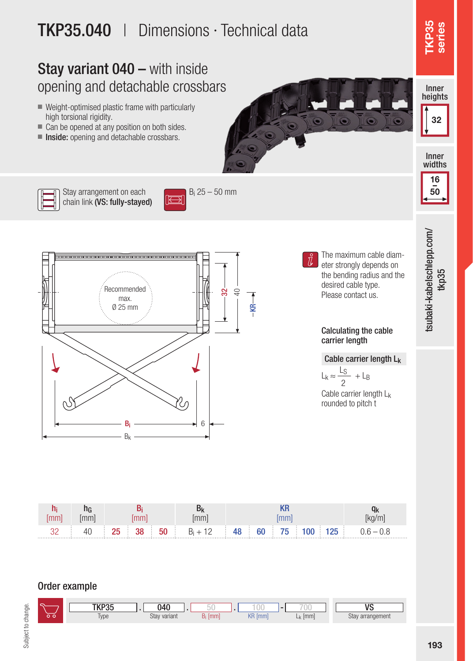# TKP35.040 | Dimensions · Technical data

### Stay variant 040 – with inside opening and detachable crossbars

- Weight-optimised plastic frame with particularly high torsional rigidity.
- Can be opened at any position on both sides.
- Inside: opening and detachable crossbars.



TKP35 series

> 16  $\frac{1}{50}$

tsubaki-kabelschlepp.com/<br>tkp35



Stay arrangement on each chain link (VS: fully-stayed)





The maximum cable diameter strongly depends on the bending radius and the desired cable type.

Please contact us.

#### Calculating the cable carrier length

#### Cable carrier length L<sub>k</sub>

Cable carrier length L<sub>k</sub> rounded to pitch t  $L_k \approx \frac{L_S}{2} + L_B$ 2

hi [mm] h<sub>G</sub> [mm] Bi [mm] Bk [mm] KR [mm]  $q_k$ [kg/m]  $32 \t 40 \t 25 \t 38 \t 50 \t B<sub>i</sub>$  $B_i + 12$  48 60 75 100 125 0.6 - 0.8

#### Order example

Type Stay variant B<sub>i</sub> [mm] KR [mm] L<sub>k</sub> [mm] Stay arrangement  $L_k$  [mm] TKP35 . 040 . 50 . 100 - 700 NS Stay variant 040

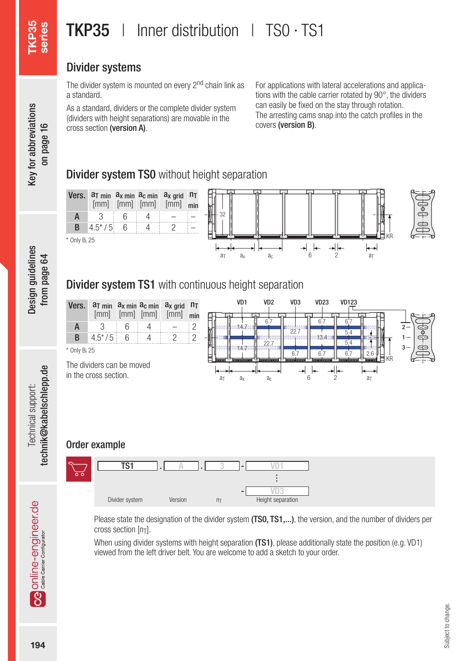# **TKP35** | Inner distribution | TS0 · TS1

#### Divider systems

The divider system is mounted on every 2<sup>nd</sup> chain link as a standard.

As a standard, dividers or the complete divider system (dividers with height separations) are movable in the cross section (version A).

For applications with lateral accelerations and applications with the cable carrier rotated by 90°, the dividers can easily be fixed on the stay through rotation. The arresting cams snap into the catch profiles in the covers (version B).

#### **Divider system TS0** without height separation



Please state the designation of the divider system (TS0, TS1,...), the version, and the number of dividers per cross section  $[n_T]$ .

When using divider systems with height separation (TS1), please additionally state the position (e.g. VD1) viewed from the left driver belt. You are welcome to add a sketch to your order.

TKP35 series

Design guidelines Design guidelines from page 64 from page 64

technik@kabelschlepp.de Technical support: